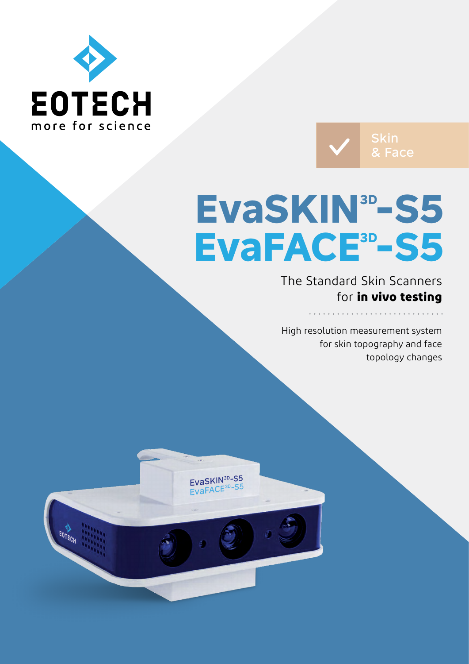



# **EvaSKIN3D-S5 EvaFACE3D-S5**

The Standard Skin Scanners for **in vivo testing**

High resolution measurement system for skin topography and face topology changes

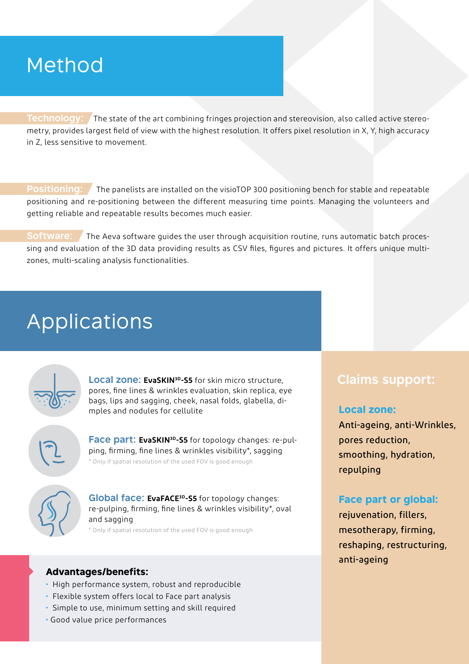## Method

**Technology:** The state of the art combining fringes projection and stereovision, also called active stereometry, provides largest field of view with the highest resolution. It offers pixel resolution in X, Y, high accuracy in Z, less sensitive to movement.

**Positioning:** The panelists are installed on the visioTOP 300 positioning bench for stable and repeatable positioning and re-positioning between the different measuring time points. Managing the volunteers and getting reliable and repeatable results becomes much easier.

**Software:** The Aeva software guides the user through acquisition routine, runs automatic batch processing and evaluation of the 3D data providing results as CSV files, figures and pictures. It offers unique multizones, multi-scaling analysis functionalities.

## Applications



**Local zone: EvaSKIN3D-S5** for skin micro structure, pores, fine lines & wrinkles evaluation, skin replica, eye bags, lips and sagging, cheek, nasal folds, glabella, dimples and nodules for cellulite

**Face part: EvaSKIN3D-S5** for topology changes: re-pulping, firming, fine lines & wrinkles visibility\*, sagging \* Only if spatial resolution of the used FOV is good enough



**Global face: EvaFACE3D-S5** for topology changes: re-pulping, firming, fine lines & wrinkles visibility\*, oval and sagging

\* Only if spatial resolution of the used FOV is good enough

### **Advantages/benefits:**

- High performance system, robust and reproducible
- Flexible system offers local to Face part analysis
- Simple to use, minimum setting and skill required
- Good value price performances

## **Claims support:**

#### **Local zone:**

Anti-ageing, anti-Wrinkles, pores reduction, smoothing, hydration, repulping

## **Face part or global:**

rejuvenation, fillers, mesotherapy, firming, reshaping, restructuring, anti-ageing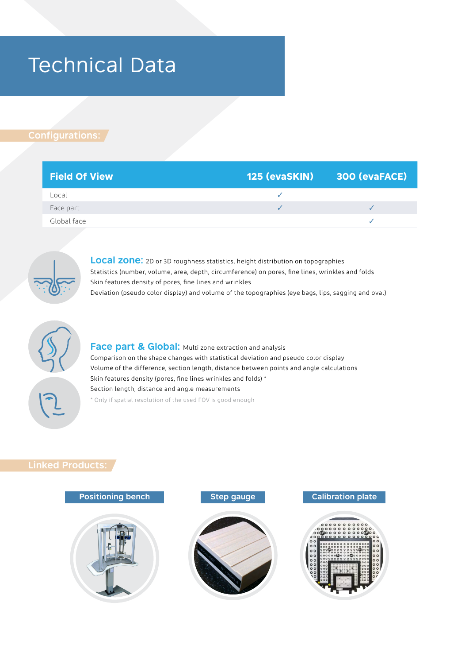## Technical Data

## **Configurations:**

| <b>Field Of View</b> | 125 (evaSKIN) 300 (evaFACE) |
|----------------------|-----------------------------|
| Local                |                             |
| Face part            |                             |
| Global face          |                             |



**Local zone:** 2D or 3D roughness statistics, height distribution on topographies Statistics (number, volume, area, depth, circumference) on pores, fine lines, wrinkles and folds Skin features density of pores, fine lines and wrinkles Deviation (pseudo color display) and volume of the topographies (eye bags, lips, sagging and oval)



**Face part & Global:** Multi zone extraction and analysis Comparison on the shape changes with statistical deviation and pseudo color display Volume of the difference, section length, distance between points and angle calculations Skin features density (pores, fine lines wrinkles and folds) \* Section length, distance and angle measurements \* Only if spatial resolution of the used FOV is good enough